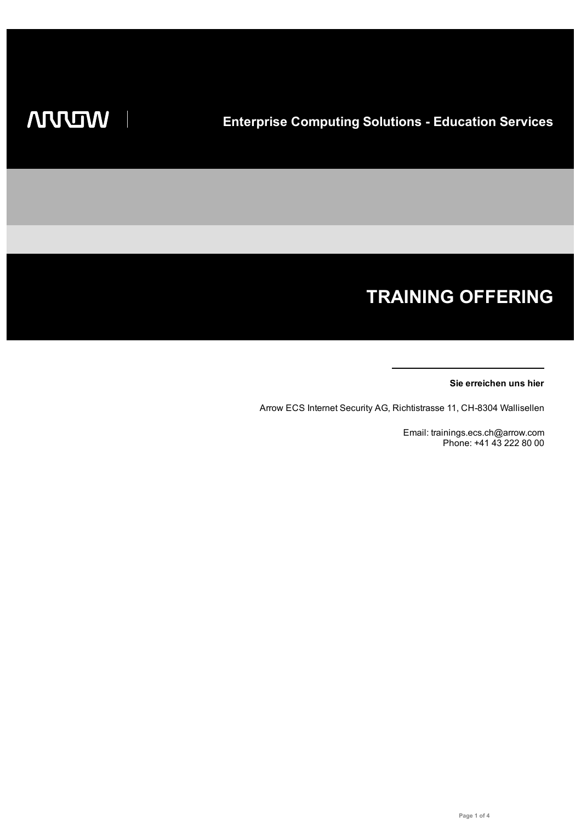# **TRAINING OFFERING**

#### **Sie erreichen uns hier**

Arrow ECS Internet Security AG, Richtistrasse 11, CH-8304 Wallisellen

Email: trainings.ecs.ch@arrow.com Phone: +41 43 222 80 00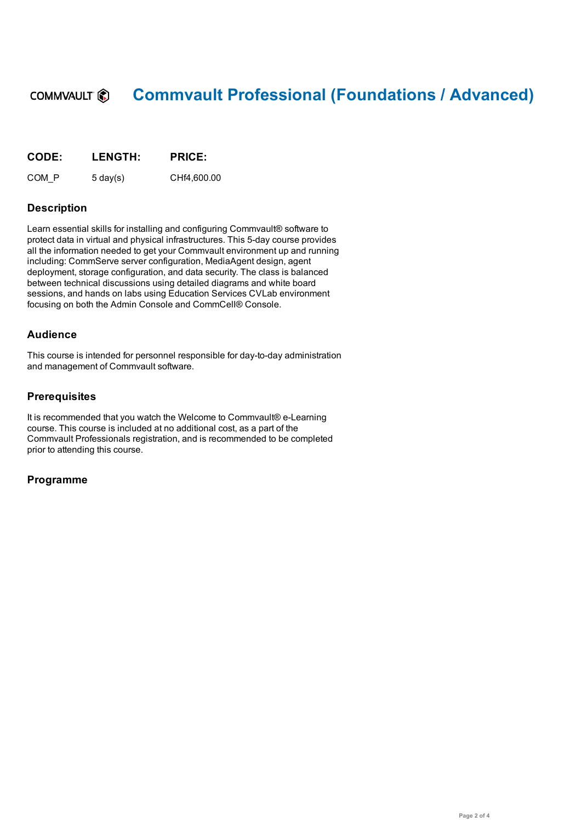#### **Commvault Professional (Foundations / Advanced)** COMMVAULT<sup>®</sup>

| <b>CODE:</b> | <b>LENGTH:</b>     | <b>PRICE:</b> |
|--------------|--------------------|---------------|
| COM P        | $5 \text{ day}(s)$ | CHf4.600.00   |

## **Description**

Learn essential skills for installing and configuring Commvault® software to protect data in virtual and physical infrastructures. This 5-day course provides all the information needed to get your Commvault environment up and running including: CommServe server configuration, MediaAgent design, agent deployment, storage configuration, and data security. The class is balanced between technical discussions using detailed diagrams and white board sessions, and hands on labs using Education Services CVLab environment focusing on both the Admin Console and CommCell® Console.

### **Audience**

This course is intended for personnel responsible for day-to-day administration and management of Commvault software.

### **Prerequisites**

It is recommended that you watch the Welcome to Commvault® e-Learning course. This course is included at no additional cost, as a part of the Commvault Professionals registration, and is recommended to be completed prior to attending this course.

#### **Programme**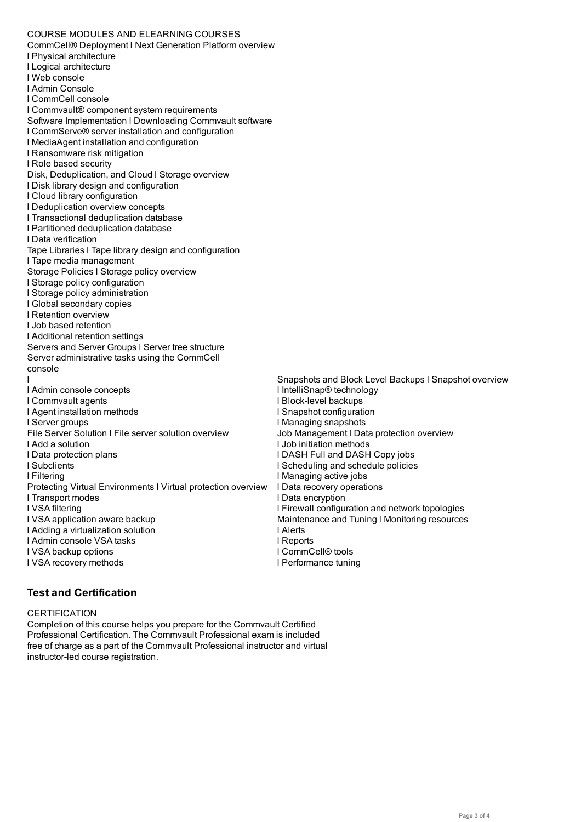CommCell® Deployment l Next Generation Platform overview l Physical architecture l Logical architecture l Web console l Admin Console l CommCell console l Commvault® component system requirements Software Implementation l Downloading Commvault software l CommServe® server installation and configuration l MediaAgent installation and configuration l Ransomware risk mitigation l Role based security Disk, Deduplication, and Cloud l Storage overview l Disk library design and configuration l Cloud library configuration l Deduplication overview concepts l Transactional deduplication database l Partitioned deduplication database l Data verification Tape Libraries l Tape library design and configuration l Tape media management Storage Policies l Storage policy overview l Storage policy configuration l Storage policy administration l Global secondary copies l Retention overview l Job based retention l Additional retention settings Servers and Server Groups l Server tree structure Server administrative tasks using the CommCell console l l Admin console concepts l Commvault agents l Agent installation methods l Server groups File Server Solution l File server solution overview l Add a solution l Data protection plans l Subclients l Filtering Protecting Virtual Environments l Virtual protection overview l Transport modes l VSA filtering l VSA application aware backup l Adding a virtualization solution l Admin console VSA tasks l VSA backup options l VSA recovery methods Snapshots and Block Level Backups l Snapshot overview l IntelliSnap® technology l Block-level backups l Snapshot configuration l Managing snapshots Job Management l Data protection overview l Job initiation methods l DASH Full and DASH Copy jobs l Scheduling and schedule policies l Managing active jobs l Data recovery operations l Data encryption l Firewall configuration and network topologies Maintenance and Tuning l Monitoring resources l Alerts l Reports l CommCell® tools l Performance tuning

## **Test and Certification**

#### **CERTIFICATION**

Completion of this course helps you prepare for the Commvault Certified Professional Certification. The Commvault Professional exam is included free of charge as a part of the Commvault Professional instructor and virtual instructor-led course registration.